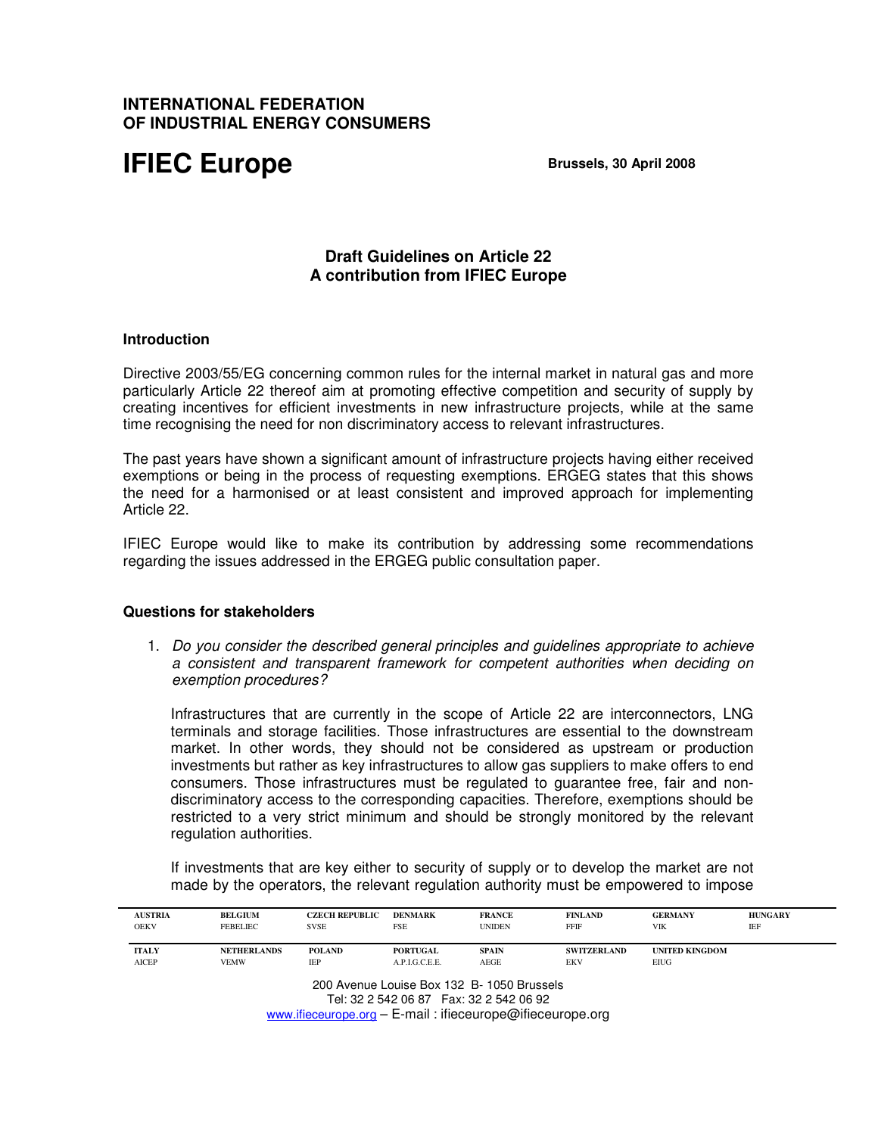## **INTERNATIONAL FEDERATION OF INDUSTRIAL ENERGY CONSUMERS**

# **IFIEC Europe Brussels, 30 April 2008**

## **Draft Guidelines on Article 22 A contribution from IFIEC Europe**

### **Introduction**

Directive 2003/55/EG concerning common rules for the internal market in natural gas and more particularly Article 22 thereof aim at promoting effective competition and security of supply by creating incentives for efficient investments in new infrastructure projects, while at the same time recognising the need for non discriminatory access to relevant infrastructures.

The past years have shown a significant amount of infrastructure projects having either received exemptions or being in the process of requesting exemptions. ERGEG states that this shows the need for a harmonised or at least consistent and improved approach for implementing Article 22.

IFIEC Europe would like to make its contribution by addressing some recommendations regarding the issues addressed in the ERGEG public consultation paper.

#### **Questions for stakeholders**

1. Do you consider the described general principles and guidelines appropriate to achieve a consistent and transparent framework for competent authorities when deciding on exemption procedures?

Infrastructures that are currently in the scope of Article 22 are interconnectors, LNG terminals and storage facilities. Those infrastructures are essential to the downstream market. In other words, they should not be considered as upstream or production investments but rather as key infrastructures to allow gas suppliers to make offers to end consumers. Those infrastructures must be regulated to guarantee free, fair and nondiscriminatory access to the corresponding capacities. Therefore, exemptions should be restricted to a very strict minimum and should be strongly monitored by the relevant regulation authorities.

If investments that are key either to security of supply or to develop the market are not made by the operators, the relevant regulation authority must be empowered to impose

| <b>AUSTRIA</b><br><b>OEKV</b> | <b>BELGIUM</b><br><b>FEBELIEC</b> | <b>CZECH REPUBLIC</b><br><b>SVSE</b> | <b>DENMARK</b><br><b>FSE</b> | <b>FRANCE</b><br><b>UNIDEN</b> | <b>FINLAND</b><br><b>FFIF</b> | <b>GERMANY</b><br><b>VIK</b> | <b>HUNGARY</b><br>IEF |
|-------------------------------|-----------------------------------|--------------------------------------|------------------------------|--------------------------------|-------------------------------|------------------------------|-----------------------|
| <b>ITALY</b>                  | <b>NETHERLANDS</b>                | <b>POLAND</b>                        | <b>PORTUGAL</b>              | <b>SPAIN</b>                   | <b>SWITZERLAND</b>            | <b>UNITED KINGDOM</b>        |                       |
| <b>AICEP</b>                  | <b>VEMW</b>                       | IEP                                  | A.P.I.G.C.E.E.               | AEGE                           | EKV                           | EIUG                         |                       |

Tel: 32 2 542 06 87 Fax: 32 2 542 06 92 www.ifieceurope.org – E-mail : ifieceurope@ifieceurope.org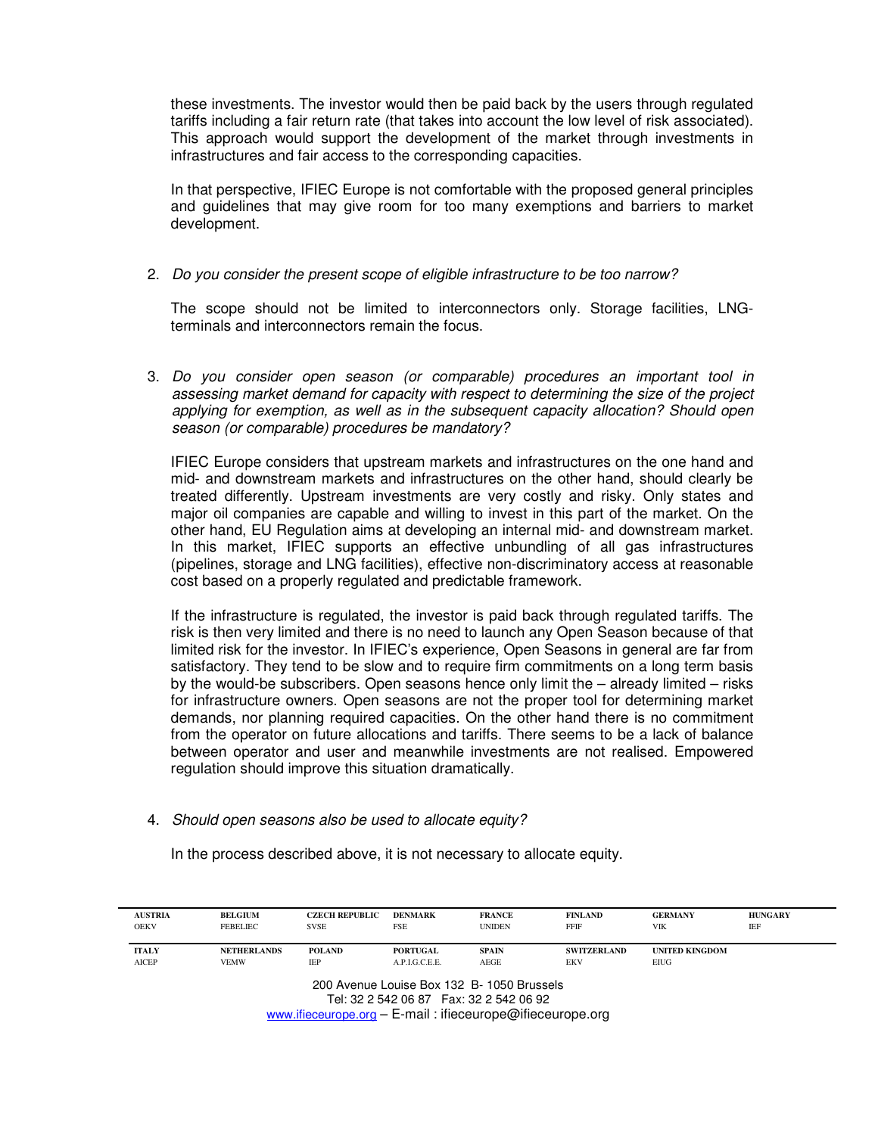these investments. The investor would then be paid back by the users through regulated tariffs including a fair return rate (that takes into account the low level of risk associated). This approach would support the development of the market through investments in infrastructures and fair access to the corresponding capacities.

In that perspective, IFIEC Europe is not comfortable with the proposed general principles and guidelines that may give room for too many exemptions and barriers to market development.

### 2. Do you consider the present scope of eligible infrastructure to be too narrow?

The scope should not be limited to interconnectors only. Storage facilities, LNGterminals and interconnectors remain the focus.

3. Do you consider open season (or comparable) procedures an important tool in assessing market demand for capacity with respect to determining the size of the project applying for exemption, as well as in the subsequent capacity allocation? Should open season (or comparable) procedures be mandatory?

IFIEC Europe considers that upstream markets and infrastructures on the one hand and mid- and downstream markets and infrastructures on the other hand, should clearly be treated differently. Upstream investments are very costly and risky. Only states and major oil companies are capable and willing to invest in this part of the market. On the other hand, EU Regulation aims at developing an internal mid- and downstream market. In this market, IFIEC supports an effective unbundling of all gas infrastructures (pipelines, storage and LNG facilities), effective non-discriminatory access at reasonable cost based on a properly regulated and predictable framework.

If the infrastructure is regulated, the investor is paid back through regulated tariffs. The risk is then very limited and there is no need to launch any Open Season because of that limited risk for the investor. In IFIEC's experience, Open Seasons in general are far from satisfactory. They tend to be slow and to require firm commitments on a long term basis by the would-be subscribers. Open seasons hence only limit the – already limited – risks for infrastructure owners. Open seasons are not the proper tool for determining market demands, nor planning required capacities. On the other hand there is no commitment from the operator on future allocations and tariffs. There seems to be a lack of balance between operator and user and meanwhile investments are not realised. Empowered regulation should improve this situation dramatically.

### 4. Should open seasons also be used to allocate equity?

In the process described above, it is not necessary to allocate equity.

| <b>BELGIUM</b><br>FEBELIEC | <b>CZECH REPUBLIC</b><br><b>SVSE</b> | <b>DENMARK</b><br><b>FSE</b> | <b>FRANCE</b><br><b>UNIDEN</b> | <b>FINLAND</b><br>FFIF | <b>GERMANY</b><br>VIK | <b>HUNGARY</b><br>IEF |
|----------------------------|--------------------------------------|------------------------------|--------------------------------|------------------------|-----------------------|-----------------------|
| <b>NETHERLANDS</b>         | <b>POLAND</b>                        | <b>PORTUGAL</b>              | <b>SPAIN</b>                   | <b>SWITZERLAND</b>     | <b>UNITED KINGDOM</b> |                       |
| <b>VEMW</b>                | IEP                                  | A.P.I.G.C.E.E.               | AEGE                           | EKV                    | EIUG                  |                       |
|                            |                                      |                              |                                |                        |                       |                       |

www.ifieceurope.org – E-mail : ifieceurope@ifieceurope.org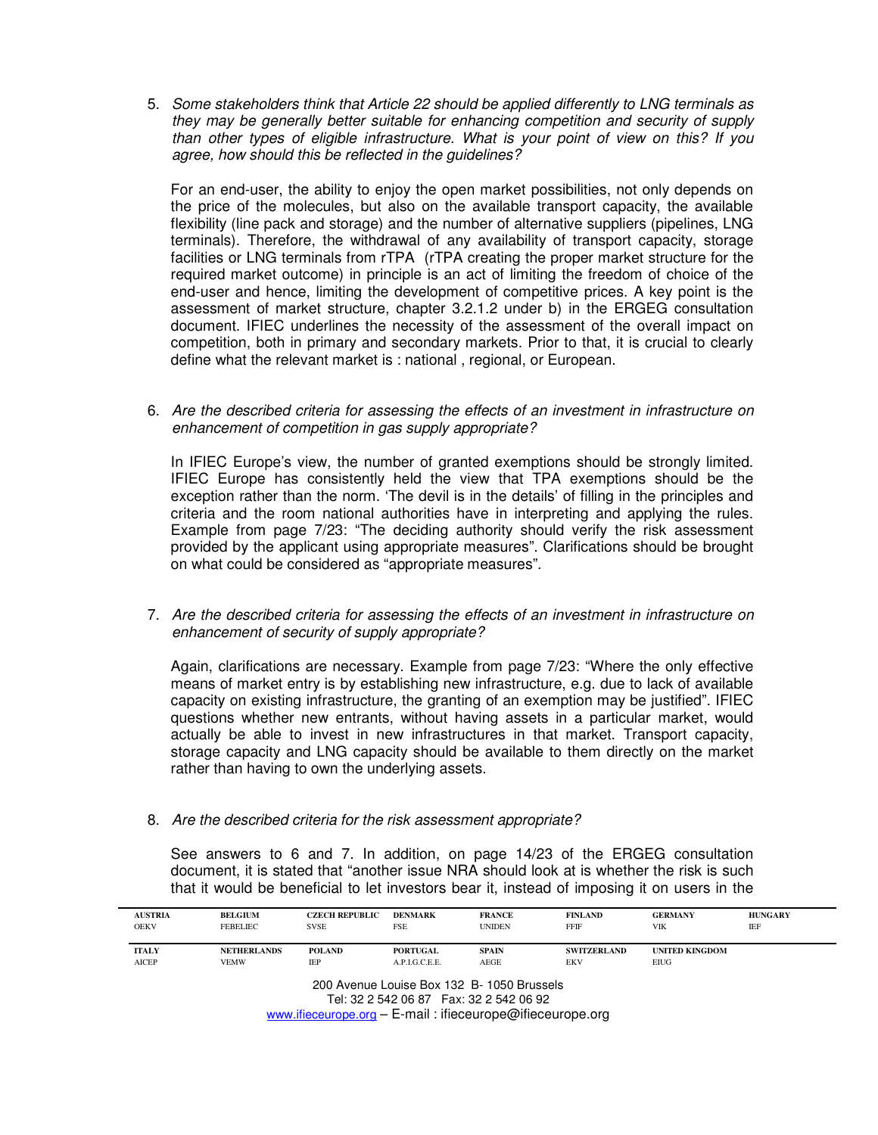5. Some stakeholders think that Article 22 should be applied differently to LNG terminals as they may be generally better suitable for enhancing competition and security of supply than other types of eligible infrastructure. What is your point of view on this? If you agree, how should this be reflected in the guidelines?

For an end-user, the ability to enjoy the open market possibilities, not only depends on the price of the molecules, but also on the available transport capacity, the available flexibility (line pack and storage) and the number of alternative suppliers (pipelines, LNG terminals). Therefore, the withdrawal of any availability of transport capacity, storage facilities or LNG terminals from rTPA (rTPA creating the proper market structure for the required market outcome) in principle is an act of limiting the freedom of choice of the end-user and hence, limiting the development of competitive prices. A key point is the assessment of market structure, chapter 3.2.1.2 under b) in the ERGEG consultation document. IFIEC underlines the necessity of the assessment of the overall impact on competition, both in primary and secondary markets. Prior to that, it is crucial to clearly define what the relevant market is : national , regional, or European.

6. Are the described criteria for assessing the effects of an investment in infrastructure on enhancement of competition in gas supply appropriate?

In IFIEC Europe's view, the number of granted exemptions should be strongly limited. IFIEC Europe has consistently held the view that TPA exemptions should be the exception rather than the norm. 'The devil is in the details' of filling in the principles and criteria and the room national authorities have in interpreting and applying the rules. Example from page 7/23: "The deciding authority should verify the risk assessment provided by the applicant using appropriate measures". Clarifications should be brought on what could be considered as "appropriate measures".

7. Are the described criteria for assessing the effects of an investment in infrastructure on enhancement of security of supply appropriate?

Again, clarifications are necessary. Example from page 7/23: "Where the only effective means of market entry is by establishing new infrastructure, e.g. due to lack of available capacity on existing infrastructure, the granting of an exemption may be justified". IFIEC questions whether new entrants, without having assets in a particular market, would actually be able to invest in new infrastructures in that market. Transport capacity, storage capacity and LNG capacity should be available to them directly on the market rather than having to own the underlying assets.

8. Are the described criteria for the risk assessment appropriate?

See answers to 6 and 7. In addition, on page 14/23 of the ERGEG consultation document, it is stated that "another issue NRA should look at is whether the risk is such that it would be beneficial to let investors bear it, instead of imposing it on users in the

| <b>AUSTRIA</b><br><b>OEKV</b> | <b>BELGIUM</b><br><b>FEBELIEC</b> | <b>CZECH REPUBLIC</b><br><b>SVSE</b> | <b>DENMARK</b><br><b>FSE</b> | <b>FRANCE</b><br><b>UNIDEN</b> | <b>FINLAND</b><br>FFIF | <b>GERMANY</b><br>VIK | <b>HUNGARY</b><br>IEF |
|-------------------------------|-----------------------------------|--------------------------------------|------------------------------|--------------------------------|------------------------|-----------------------|-----------------------|
| <b>ITALY</b>                  | <b>NETHERLANDS</b>                | <b>POLAND</b>                        | <b>PORTUGAL</b>              | <b>SPAIN</b>                   | <b>SWITZERLAND</b>     | <b>UNITED KINGDOM</b> |                       |
| AICEP                         | <b>VEMW</b>                       | IEP                                  | A.P.I.G.C.E.E.               | AEGE                           | <b>EKV</b>             | EIUG                  |                       |

www.ifieceurope.org – E-mail : ifieceurope@ifieceurope.org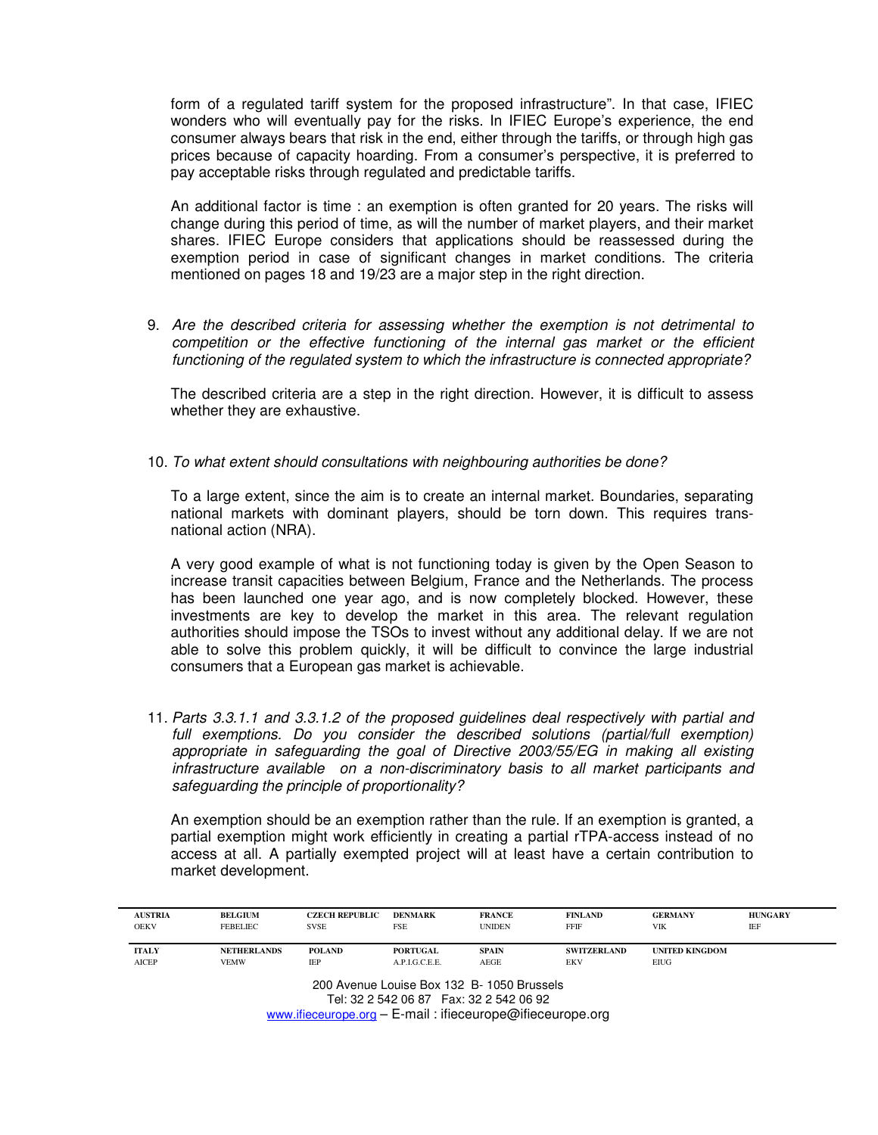form of a regulated tariff system for the proposed infrastructure". In that case, IFIEC wonders who will eventually pay for the risks. In IFIEC Europe's experience, the end consumer always bears that risk in the end, either through the tariffs, or through high gas prices because of capacity hoarding. From a consumer's perspective, it is preferred to pay acceptable risks through regulated and predictable tariffs.

An additional factor is time : an exemption is often granted for 20 years. The risks will change during this period of time, as will the number of market players, and their market shares. IFIEC Europe considers that applications should be reassessed during the exemption period in case of significant changes in market conditions. The criteria mentioned on pages 18 and 19/23 are a major step in the right direction.

9. Are the described criteria for assessing whether the exemption is not detrimental to competition or the effective functioning of the internal gas market or the efficient functioning of the regulated system to which the infrastructure is connected appropriate?

The described criteria are a step in the right direction. However, it is difficult to assess whether they are exhaustive.

10. To what extent should consultations with neighbouring authorities be done?

To a large extent, since the aim is to create an internal market. Boundaries, separating national markets with dominant players, should be torn down. This requires transnational action (NRA).

A very good example of what is not functioning today is given by the Open Season to increase transit capacities between Belgium, France and the Netherlands. The process has been launched one year ago, and is now completely blocked. However, these investments are key to develop the market in this area. The relevant regulation authorities should impose the TSOs to invest without any additional delay. If we are not able to solve this problem quickly, it will be difficult to convince the large industrial consumers that a European gas market is achievable.

11. Parts 3.3.1.1 and 3.3.1.2 of the proposed guidelines deal respectively with partial and full exemptions. Do you consider the described solutions (partial/full exemption) appropriate in safeguarding the goal of Directive 2003/55/EG in making all existing infrastructure available on a non-discriminatory basis to all market participants and safeguarding the principle of proportionality?

An exemption should be an exemption rather than the rule. If an exemption is granted, a partial exemption might work efficiently in creating a partial rTPA-access instead of no access at all. A partially exempted project will at least have a certain contribution to market development.

| <b>AUSTRIA</b><br><b>OEKV</b>              | <b>BELGIUM</b><br><b>FEBELIEC</b> | <b>CZECH REPUBLIC</b><br><b>SVSE</b> | <b>DENMARK</b><br>FSE | <b>FRANCE</b><br><b>UNIDEN</b> | <b>FINLAND</b><br><b>FFIF</b> | <b>GERMANY</b><br><b>VIK</b> | <b>HUNGARY</b><br>IEF |  |
|--------------------------------------------|-----------------------------------|--------------------------------------|-----------------------|--------------------------------|-------------------------------|------------------------------|-----------------------|--|
| <b>ITALY</b>                               | <b>NETHERLANDS</b>                | <b>POLAND</b>                        | <b>PORTUGAL</b>       | <b>SPAIN</b>                   | <b>SWITZERLAND</b>            | <b>UNITED KINGDOM</b>        |                       |  |
| <b>AICEP</b>                               | <b>VEMW</b>                       | IEP                                  | A.P.I.G.C.E.E.        | AEGE                           | <b>EKV</b>                    | <b>EIUG</b>                  |                       |  |
| 200 Avenue Louise Box 132 B- 1050 Brussels |                                   |                                      |                       |                                |                               |                              |                       |  |

200 Avenue Louise Box 132 B- 1050 Brussels Tel: 32 2 542 06 87 Fax: 32 2 542 06 92 www.ifieceurope.org – E-mail : ifieceurope@ifieceurope.org